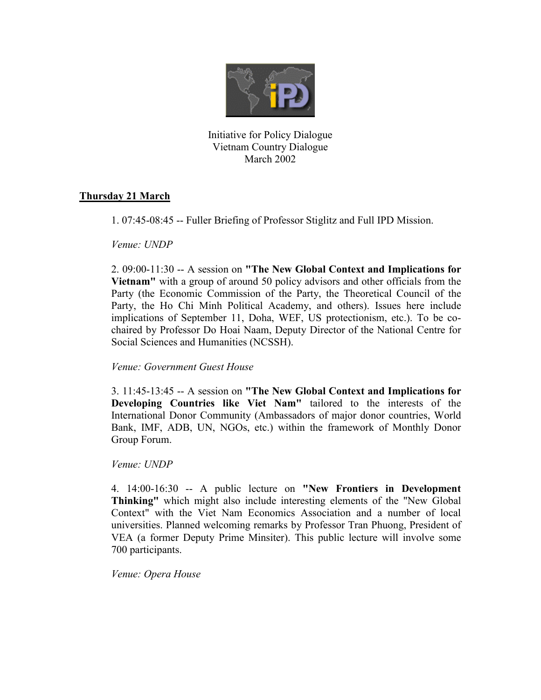

Initiative for Policy Dialogue Vietnam Country Dialogue March 2002

## **Thursday 21 March**

1. 07:45-08:45 -- Fuller Briefing of Professor Stiglitz and Full IPD Mission.

*Venue: UNDP* 

2. 09:00-11:30 -- A session on **"The New Global Context and Implications for Vietnam"** with a group of around 50 policy advisors and other officials from the Party (the Economic Commission of the Party, the Theoretical Council of the Party, the Ho Chi Minh Political Academy, and others). Issues here include implications of September 11, Doha, WEF, US protectionism, etc.). To be cochaired by Professor Do Hoai Naam, Deputy Director of the National Centre for Social Sciences and Humanities (NCSSH).

## *Venue: Government Guest House*

3. 11:45-13:45 -- A session on **"The New Global Context and Implications for Developing Countries like Viet Nam"** tailored to the interests of the International Donor Community (Ambassadors of major donor countries, World Bank, IMF, ADB, UN, NGOs, etc.) within the framework of Monthly Donor Group Forum.

*Venue: UNDP* 

4. 14:00-16:30 -- A public lecture on **"New Frontiers in Development Thinking"** which might also include interesting elements of the "New Global Context" with the Viet Nam Economics Association and a number of local universities. Planned welcoming remarks by Professor Tran Phuong, President of VEA (a former Deputy Prime Minsiter). This public lecture will involve some 700 participants.

*Venue: Opera House*